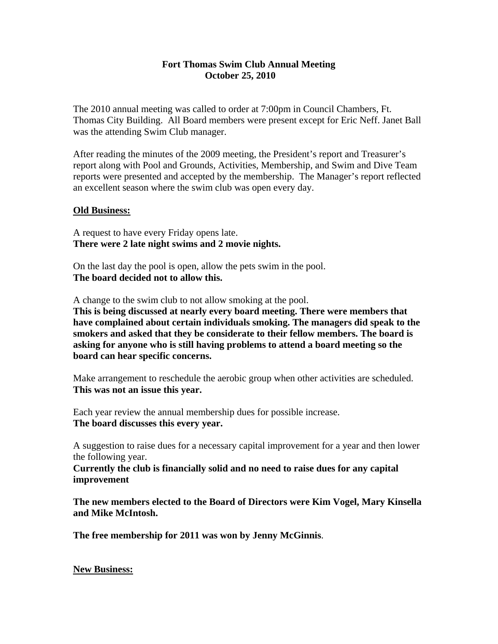## **Fort Thomas Swim Club Annual Meeting October 25, 2010**

The 2010 annual meeting was called to order at 7:00pm in Council Chambers, Ft. Thomas City Building. All Board members were present except for Eric Neff. Janet Ball was the attending Swim Club manager.

After reading the minutes of the 2009 meeting, the President's report and Treasurer's report along with Pool and Grounds, Activities, Membership, and Swim and Dive Team reports were presented and accepted by the membership. The Manager's report reflected an excellent season where the swim club was open every day.

## **Old Business:**

A request to have every Friday opens late. **There were 2 late night swims and 2 movie nights.** 

On the last day the pool is open, allow the pets swim in the pool. **The board decided not to allow this.** 

A change to the swim club to not allow smoking at the pool.

**This is being discussed at nearly every board meeting. There were members that have complained about certain individuals smoking. The managers did speak to the smokers and asked that they be considerate to their fellow members. The board is asking for anyone who is still having problems to attend a board meeting so the board can hear specific concerns.** 

Make arrangement to reschedule the aerobic group when other activities are scheduled. **This was not an issue this year.** 

Each year review the annual membership dues for possible increase. **The board discusses this every year.** 

A suggestion to raise dues for a necessary capital improvement for a year and then lower the following year.

**Currently the club is financially solid and no need to raise dues for any capital improvement** 

**The new members elected to the Board of Directors were Kim Vogel, Mary Kinsella and Mike McIntosh.** 

**The free membership for 2011 was won by Jenny McGinnis**.

**New Business:**